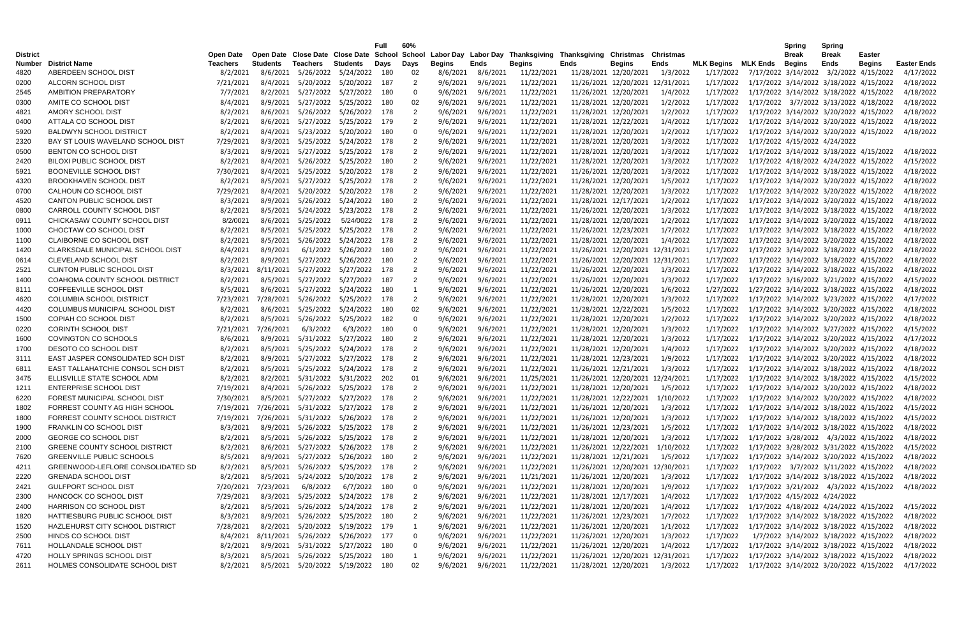|                                  |                                       |                              |                 |                                             |                 | <b>Full</b> | 60%            |          |          |                                                                                                       |      |                                  |                                  |                   |                                         | Spring                        | Spring               |                                         |                    |
|----------------------------------|---------------------------------------|------------------------------|-----------------|---------------------------------------------|-----------------|-------------|----------------|----------|----------|-------------------------------------------------------------------------------------------------------|------|----------------------------------|----------------------------------|-------------------|-----------------------------------------|-------------------------------|----------------------|-----------------------------------------|--------------------|
| <b>District</b><br><b>Number</b> | <b>District Name</b>                  | Open Date<br><b>Teachers</b> | <b>Students</b> | Teachers                                    | <b>Students</b> | Days        | Days           | Begins   | Ends     | Open Date Close Date Close Date School School Labor Day Labor Day Thanksgiving Thanksgiving Christmas | Ends | <b>Begins</b>                    | <b>Christmas</b><br>Ends         | <b>MLK Begins</b> | MLK Ends                                | <b>Break</b><br>Begins        | <b>Break</b><br>Ends | Easter<br><b>Begins</b>                 | <b>Easter Ends</b> |
| 4820                             | ABERDEEN SCHOOL DIST                  | 8/2/2021                     | 8/6/2021        | 5/26/2022                                   | 5/24/2022       | 180         | 02             | 8/6/2021 | 8/6/2021 | <b>Begins</b><br>11/22/2021                                                                           |      | 11/28/2021 12/20/2021            | 1/3/2022                         | 1/17/2022         |                                         |                               |                      | 7/17/2022 3/14/2022 3/2/2022 4/15/2022  | 4/17/2022          |
| 0200                             | ALCORN SCHOOL DIST                    | 7/21/2021                    | 8/4/2021        | 5/20/2022                                   | 5/20/2022       | 187         | 2              | 9/6/2021 | 9/6/2021 | 11/22/2021                                                                                            |      | 11/26/2021 12/20/2021 12/31/2021 |                                  | 1/17/2022         |                                         |                               |                      | 1/17/2022 3/14/2022 3/18/2022 4/15/2022 | 4/18/2022          |
|                                  | AMBITION PREPARATORY                  | 7/7/2021                     | 8/2/2021        | 5/27/2022                                   | 5/27/2022       | 180         | 0              | 9/6/2021 | 9/6/2021 | 11/22/2021                                                                                            |      | 11/26/2021 12/20/2021            | 1/4/2022                         | 1/17/2022         |                                         |                               |                      | 1/17/2022 3/14/2022 3/18/2022 4/15/2022 | 4/18/2022          |
| 2545                             | AMITE CO SCHOOL DIST                  | 8/4/2021                     | 8/9/2021        | 5/27/2022                                   | 5/25/2022       | 180         | 02             | 9/6/2021 | 9/6/2021 | 11/22/2021                                                                                            |      | 11/28/2021 12/20/2021            | 1/2/2022                         | 1/17/2022         |                                         |                               |                      | 1/17/2022 3/7/2022 3/13/2022 4/18/2022  | 4/18/2022          |
| 0300                             | AMORY SCHOOL DIST                     |                              |                 |                                             | 5/26/2022       |             |                |          |          |                                                                                                       |      |                                  | 1/2/2022                         |                   |                                         |                               |                      |                                         |                    |
| 4821                             |                                       | 8/2/2021                     | 8/6/2021        | 5/26/2022                                   |                 | 178         | -2             | 9/6/2021 | 9/6/2021 | 11/22/2021                                                                                            |      | 11/28/2021 12/20/2021            |                                  | 1/17/2022         |                                         |                               |                      | 1/17/2022 3/14/2022 3/20/2022 4/15/2022 | 4/18/2022          |
| 0400                             | ATTALA CO SCHOOL DIST                 | 8/2/2021                     | 8/6/2021        | 5/27/2022                                   | 5/25/2022       | 179         | -2             | 9/6/2021 | 9/6/2021 | 11/22/2021                                                                                            |      | 11/28/2021 12/22/2021            | 1/4/2022                         | 1/17/2022         |                                         |                               |                      | 1/17/2022 3/14/2022 3/20/2022 4/15/2022 | 4/18/2022          |
| 5920                             | <b>BALDWYN SCHOOL DISTRICT</b>        | 8/2/2021                     | 8/4/2021        | 5/23/2022                                   | 5/20/2022       | 180         | 0              | 9/6/2021 | 9/6/2021 | 11/22/2021                                                                                            |      | 11/28/2021 12/20/2021            | 1/2/2022                         | 1/17/2022         |                                         |                               |                      | 1/17/2022 3/14/2022 3/20/2022 4/15/2022 | 4/18/2022          |
| 2320                             | BAY ST LOUIS WAVELAND SCHOOL DIST     | 7/29/2021                    | 8/3/2021        | 5/25/2022                                   | 5/24/2022       | -178        | 2              | 9/6/2021 | 9/6/2021 | 11/22/2021                                                                                            |      | 11/28/2021 12/20/2021            | 1/3/2022                         | 1/17/2022         |                                         | 1/17/2022 4/15/2022 4/24/2022 |                      |                                         |                    |
| 0500                             | BENTON CO SCHOOL DIST                 | 8/3/2021                     | 8/9/2021        | 5/27/2022                                   | 5/25/2022       | 178         | -2             | 9/6/2021 | 9/6/2021 | 11/22/2021                                                                                            |      | 11/28/2021 12/20/2021            | 1/3/2022                         | 1/17/2022         |                                         |                               |                      | 1/17/2022 3/14/2022 3/18/2022 4/15/2022 | 4/18/2022          |
| 2420                             | <b>BILOXI PUBLIC SCHOOL DIST</b>      | 8/2/2021                     | 8/4/2021        | 5/26/2022                                   | 5/25/2022       | -180        | 2              | 9/6/2021 | 9/6/2021 | 11/22/2021                                                                                            |      | 11/28/2021 12/20/2021            | 1/3/2022                         | 1/17/2022         |                                         |                               |                      | 1/17/2022 4/18/2022 4/24/2022 4/15/2022 | 4/15/2022          |
| 5921                             | <b>BOONEVILLE SCHOOL DIST</b>         | 7/30/2021                    | 8/4/2021        | 5/25/2022                                   | 5/20/2022       | 178         | 2              | 9/6/2021 | 9/6/2021 | 11/22/2021                                                                                            |      | 11/26/2021 12/20/2021            | 1/3/2022                         | 1/17/2022         |                                         |                               |                      | 1/17/2022 3/14/2022 3/18/2022 4/15/2022 | 4/18/2022          |
| 4320                             | <b>BROOKHAVEN SCHOOL DIST</b>         | 8/2/2021                     | 8/5/2021        | 5/27/2022                                   | 5/25/2022       | 178         | $\overline{2}$ | 9/6/2021 | 9/6/2021 | 11/22/2021                                                                                            |      | 11/28/2021 12/20/2021            | 1/5/2022                         | 1/17/2022         |                                         |                               |                      | 1/17/2022 3/14/2022 3/20/2022 4/15/2022 | 4/18/2022          |
| 0700                             | CALHOUN CO SCHOOL DIST                | 7/29/2021                    | 8/4/2021        | 5/20/2022                                   | 5/20/2022       | 178         | -2             | 9/6/2021 | 9/6/2021 | 11/22/2021                                                                                            |      | 11/28/2021 12/20/2021            | 1/3/2022                         | 1/17/2022         |                                         |                               |                      | 1/17/2022 3/14/2022 3/20/2022 4/15/2022 | 4/18/2022          |
| 4520                             | CANTON PUBLIC SCHOOL DIST             | 8/3/2021                     | 8/9/2021        | 5/26/2022                                   | 5/24/2022       | 180         |                | 9/6/2021 | 9/6/2021 | 11/22/2021                                                                                            |      | 11/28/2021 12/17/2021            | 1/2/2022                         | 1/17/2022         |                                         |                               |                      | 1/17/2022 3/14/2022 3/20/2022 4/15/2022 | 4/18/2022          |
| 0800                             | CARROLL COUNTY SCHOOL DIST            | 8/2/2021                     | 8/5/2021        | 5/24/2022                                   | 5/23/2022       | 178         | -2             | 9/6/2021 | 9/6/2021 | 11/22/2021                                                                                            |      | 11/26/2021 12/20/2021            | 1/3/2022                         | 1/17/2022         |                                         |                               |                      | 1/17/2022 3/14/2022 3/18/2022 4/15/2022 | 4/18/2022          |
| 0911                             | CHICKASAW COUNTY SCHOOL DIST          | 8/2/0021                     |                 | 8/6/2021 5/25/2022                          | 5/24/0022       | 178         |                | 9/6/2021 | 9/6/2021 | 11/22/2021                                                                                            |      | 11/28/2021 12/20/2021            | 1/2/2022                         | 1/17/2022         |                                         |                               |                      | 1/17/2022 3/14/2022 3/20/2022 4/15/2022 | 4/18/2022          |
| 1000                             | CHOCTAW CO SCHOOL DIST                | 8/2/2021                     | 8/5/2021        | 5/25/2022                                   | 5/25/2022       | 178         | -2             | 9/6/2021 | 9/6/2021 | 11/22/2021                                                                                            |      | 11/26/2021 12/23/2021            | 1/7/2022                         | 1/17/2022         |                                         |                               |                      | 1/17/2022 3/14/2022 3/18/2022 4/15/2022 | 4/18/2022          |
| 1100                             | CLAIBORNE CO SCHOOL DIST              | 8/2/2021                     | 8/5/2021        | 5/26/2022                                   | 5/24/2022       | 178         | -2             | 9/6/2021 | 9/6/2021 | 11/22/2021                                                                                            |      | 11/28/2021 12/20/2021            | 1/4/2022                         | 1/17/2022         |                                         |                               |                      | 1/17/2022 3/14/2022 3/20/2022 4/15/2022 | 4/18/2022          |
| 1420                             | CLARKSDALE MUNICIPAL SCHOOL DIST      | 8/4/2021                     | 8/9/2021        | 6/1/2022                                    | 5/26/2022       | 180         | 2              | 9/6/2021 | 9/6/2021 | 11/22/2021                                                                                            |      |                                  | 11/26/2021 12/20/2021 12/31/2021 | 1/17/2022         |                                         |                               |                      | 1/17/2022 3/14/2022 3/18/2022 4/15/2022 | 4/18/2022          |
| 0614                             | CLEVELAND SCHOOL DIST                 | 8/2/2021                     | 8/9/2021        | 5/27/2022                                   | 5/26/2022       | -180        | 2              | 9/6/2021 | 9/6/2021 | 11/22/2021                                                                                            |      |                                  | 11/26/2021 12/20/2021 12/31/2021 | 1/17/2022         |                                         |                               |                      | 1/17/2022 3/14/2022 3/18/2022 4/15/2022 | 4/18/2022          |
| 2521                             | <b>CLINTON PUBLIC SCHOOL DIST</b>     | 8/3/2021                     | 8/11/2021       | 5/27/2022                                   | 5/27/2022       | 178         | 2              | 9/6/2021 | 9/6/2021 | 11/22/2021                                                                                            |      | 11/26/2021 12/20/2021            | 1/3/2022                         | 1/17/2022         |                                         |                               |                      | 1/17/2022 3/14/2022 3/18/2022 4/15/2022 | 4/18/2022          |
| 1400                             | COAHOMA COUNTY SCHOOL DISTRICT        | 8/2/2021                     | 8/5/2021        | 5/27/2022                                   | 5/27/2022       | 187         | 2              | 9/6/2021 | 9/6/2021 | 11/22/2021                                                                                            |      | 11/26/2021 12/20/2021            | 1/3/2022                         | 1/17/2022         |                                         |                               |                      | 1/17/2022 3/16/2022 3/21/2022 4/15/2022 | 4/15/2022          |
| 8111                             | COFFEEVILLE SCHOOL DIST               | 8/5/2021                     | 8/6/2021        | 5/27/2022                                   | 5/24/2022       | 180         |                | 9/6/2021 | 9/6/2021 | 11/22/2021                                                                                            |      | 11/26/2021 12/20/2021            | 1/6/2022                         | 1/27/2022         |                                         |                               |                      | 1/27/2022 3/14/2022 3/18/2022 4/15/2022 | 4/18/2022          |
| 4620                             | <b>COLUMBIA SCHOOL DISTRICT</b>       | 7/23/2021                    | 7/28/2021       | 5/26/2022                                   | 5/25/2022       | 178         | -2             | 9/6/2021 | 9/6/2021 | 11/22/2021                                                                                            |      | 11/28/2021 12/20/2021            | 1/3/2022                         | 1/17/2022         |                                         |                               |                      | 1/17/2022 3/14/2022 3/23/2022 4/15/2022 | 4/17/2022          |
| 4420                             | <b>COLUMBUS MUNICIPAL SCHOOL DIST</b> | 8/2/2021                     | 8/6/2021        | 5/25/2022                                   | 5/24/2022       | 180         | 02             | 9/6/2021 | 9/6/2021 | 11/22/2021                                                                                            |      | 11/28/2021 12/22/2021            | 1/5/2022                         | 1/17/2022         |                                         |                               |                      | 1/17/2022 3/14/2022 3/20/2022 4/15/2022 | 4/18/2022          |
| 1500                             | COPIAH CO SCHOOL DIST                 | 8/2/2021                     | 8/5/2021        | 5/26/2022                                   | 5/25/2022       | 182         | 0              | 9/6/2021 | 9/6/2021 | 11/22/2021                                                                                            |      | 11/28/2021 12/20/2021            | 1/2/2022                         | 1/17/2022         |                                         |                               |                      | 1/17/2022 3/14/2022 3/20/2022 4/15/2022 | 4/18/2022          |
| 0220                             | <b>CORINTH SCHOOL DIST</b>            | 7/21/2021                    | 7/26/2021       | 6/3/2022                                    | 6/3/2022        | 180         | 0              | 9/6/2021 | 9/6/2021 | 11/22/2021                                                                                            |      | 11/28/2021 12/20/2021            | 1/3/2022                         | 1/17/2022         |                                         |                               |                      | 1/17/2022 3/14/2022 3/27/2022 4/15/2022 | 4/15/2022          |
| 1600                             | <b>COVINGTON CO SCHOOLS</b>           | 8/6/2021                     | 8/9/2021        | 5/31/2022                                   | 5/27/2022       | 180         | -2             | 9/6/2021 | 9/6/2021 | 11/22/2021                                                                                            |      | 11/28/2021 12/20/2021            | 1/3/2022                         | 1/17/2022         |                                         |                               |                      | 1/17/2022 3/14/2022 3/20/2022 4/15/2022 | 4/17/2022          |
| 1700                             | DESOTO CO SCHOOL DIST                 | 8/2/2021                     | 8/5/2021        | 5/25/2022                                   | 5/24/2022       | 178         | $\overline{2}$ | 9/6/2021 | 9/6/2021 | 11/22/2021                                                                                            |      | 11/28/2021 12/20/2021            | 1/4/2022                         | 1/17/2022         |                                         |                               |                      | 1/17/2022 3/14/2022 3/20/2022 4/15/2022 | 4/18/2022          |
| 3111                             | EAST JASPER CONSOLIDATED SCH DIST     | 8/2/2021                     | 8/9/2021        | 5/27/2022                                   | 5/27/2022       | -178        | $\overline{2}$ | 9/6/2021 | 9/6/2021 | 11/22/2021                                                                                            |      | 11/28/2021 12/23/2021            | 1/9/2022                         | 1/17/2022         |                                         |                               |                      | 1/17/2022 3/14/2022 3/20/2022 4/15/2022 | 4/18/2022          |
| 6811                             | EAST TALLAHATCHIE CONSOL SCH DIST     | 8/2/2021                     | 8/5/2021        | 5/25/2022                                   | 5/24/2022       | -178        | 2              | 9/6/2021 | 9/6/2021 | 11/22/2021                                                                                            |      | 11/26/2021 12/21/2021            | 1/3/2022                         | 1/17/2022         |                                         |                               |                      | 1/17/2022 3/14/2022 3/18/2022 4/15/2022 | 4/18/2022          |
| 3475                             | ELLISVILLE STATE SCHOOL ADM           | 8/2/2021                     | 8/2/2021        | 5/31/2022                                   | 5/31/2022       | -202        | 01             | 9/6/2021 | 9/6/2021 | 11/25/2021                                                                                            |      | 11/26/2021 12/20/2021 12/24/2021 |                                  | 1/17/2022         |                                         |                               |                      | 1/17/2022 3/14/2022 3/18/2022 4/15/2022 | 4/15/2022          |
| 1211                             | <b>ENTERPRISE SCHOOL DIST</b>         | 7/19/2021                    |                 | 8/4/2021 5/26/2022                          | 5/25/2022       | -178        | 2              | 9/6/2021 | 9/6/2021 | 11/22/2021                                                                                            |      | 11/28/2021 12/20/2021            | 1/5/2022                         | 1/17/2022         |                                         |                               |                      | 1/17/2022 3/14/2022 3/20/2022 4/15/2022 | 4/18/2022          |
| 6220                             | FOREST MUNICIPAL SCHOOL DIST          | 7/30/2021                    |                 | 8/5/2021 5/27/2022 5/27/2022 178            |                 |             |                | 9/6/2021 | 9/6/2021 | 11/22/2021                                                                                            |      |                                  | 11/28/2021 12/22/2021 1/10/2022  | 1/17/2022         | 1/17/2022 3/14/2022 3/20/2022 4/15/2022 |                               |                      |                                         | 4/18/2022          |
| 1802                             | FORREST COUNTY AG HIGH SCHOOL         |                              |                 | 7/19/2021 7/26/2021 5/31/2022 5/27/2022 178 |                 |             |                | 9/6/2021 | 9/6/2021 | 11/22/2021                                                                                            |      | 11/26/2021 12/20/2021            | 1/3/2022                         | 1/17/2022         |                                         |                               |                      | 1/17/2022 3/14/2022 3/18/2022 4/15/2022 | 4/15/2022          |
| 1800                             | FORREST COUNTY SCHOOL DISTRICT        |                              |                 | 7/19/2021 7/26/2021 5/31/2022               | 5/26/2022 178   |             | -2             | 9/6/2021 | 9/6/2021 | 11/22/2021                                                                                            |      | 11/26/2021 12/20/2021            | 1/3/2022                         | 1/17/2022         |                                         |                               |                      | 1/17/2022 3/14/2022 3/18/2022 4/15/2022 | 4/15/2022          |
| 1900                             | <b>FRANKLIN CO SCHOOL DIST</b>        | 8/3/2021                     |                 | 8/9/2021 5/26/2022                          | 5/25/2022 178   |             |                | 9/6/2021 | 9/6/2021 | 11/22/2021                                                                                            |      | 11/26/2021 12/23/2021            | 1/5/2022                         | 1/17/2022         |                                         |                               |                      | 1/17/2022 3/14/2022 3/18/2022 4/15/2022 | 4/18/2022          |
| 2000                             | <b>GEORGE CO SCHOOL DIST</b>          | 8/2/2021                     |                 | 8/5/2021 5/26/2022                          | 5/25/2022 178   |             | -2             | 9/6/2021 | 9/6/2021 | 11/22/2021                                                                                            |      | 11/28/2021 12/20/2021            | 1/3/2022                         | 1/17/2022         |                                         |                               |                      | 1/17/2022 3/28/2022 4/3/2022 4/15/2022  | 4/18/2022          |
| 2100                             | <b>GREENE COUNTY SCHOOL DISTRICT</b>  | 8/2/2021                     |                 | 8/6/2021 5/27/2022 5/26/2022 178            |                 |             |                | 9/6/2021 | 9/6/2021 | 11/22/2021                                                                                            |      |                                  | 11/26/2021 12/22/2021 1/10/2022  | 1/17/2022         | 1/17/2022 3/28/2022 3/31/2022 4/15/2022 |                               |                      |                                         | 4/15/2022          |
| 7620                             | <b>GREENVILLE PUBLIC SCHOOLS</b>      | 8/5/2021                     |                 | 8/9/2021 5/27/2022 5/26/2022 180            |                 |             | 2              | 9/6/2021 | 9/6/2021 | 11/22/2021                                                                                            |      | 11/28/2021 12/21/2021            | 1/5/2022                         | 1/17/2022         |                                         |                               |                      | 1/17/2022 3/14/2022 3/20/2022 4/15/2022 | 4/18/2022          |
| 4211                             | GREENWOOD-LEFLORE CONSOLIDATED SD     | 8/2/2021                     |                 | 8/5/2021 5/26/2022 5/25/2022 178            |                 |             | 2              | 9/6/2021 | 9/6/2021 | 11/22/2021                                                                                            |      |                                  | 11/26/2021 12/20/2021 12/30/2021 | 1/17/2022         |                                         |                               |                      | 1/17/2022 3/7/2022 3/11/2022 4/15/2022  | 4/18/2022          |
| 2220                             | <b>GRENADA SCHOOL DIST</b>            | 8/2/2021                     |                 | 8/5/2021 5/24/2022                          | 5/20/2022 178   |             |                | 9/6/2021 | 9/6/2021 | 11/21/2021                                                                                            |      | 11/26/2021 12/20/2021            | 1/3/2022                         | 1/17/2022         |                                         |                               |                      | 1/17/2022 3/14/2022 3/18/2022 4/15/2022 | 4/18/2022          |
| 2421                             | <b>GULFPORT SCHOOL DIST</b>           | 7/20/2021                    | 7/23/2021       | 6/8/2022                                    | 6/7/2022 180    |             | 0              | 9/6/2021 | 9/6/2021 | 11/22/2021                                                                                            |      | 11/28/2021 12/20/2021            | 1/9/2022                         | 1/17/2022         |                                         |                               |                      | 1/17/2022 3/21/2022 4/3/2022 4/15/2022  | 4/18/2022          |
|                                  | HANCOCK CO SCHOOL DIST                | 7/29/2021                    |                 | 8/3/2021 5/25/2022 5/24/2022 178            |                 |             |                | 9/6/2021 | 9/6/2021 | 11/22/2021                                                                                            |      | 11/28/2021 12/17/2021            | 1/4/2022                         | 1/17/2022         |                                         | 1/17/2022 4/15/2022 4/24/2022 |                      |                                         |                    |
| 2300                             | <b>HARRISON CO SCHOOL DIST</b>        |                              |                 | 8/5/2021 5/26/2022 5/24/2022 178            |                 |             |                | 9/6/2021 |          | 11/22/2021                                                                                            |      |                                  |                                  |                   |                                         |                               |                      |                                         |                    |
| 2400                             |                                       | 8/2/2021                     |                 |                                             |                 |             |                |          | 9/6/2021 |                                                                                                       |      | 11/28/2021 12/20/2021            | 1/4/2022                         | 1/17/2022         |                                         |                               |                      | 1/17/2022 4/18/2022 4/24/2022 4/15/2022 | 4/15/2022          |
| 1820                             | HATTIESBURG PUBLIC SCHOOL DIST        | 8/3/2021                     |                 | 8/9/2021 5/26/2022 5/25/2022 180            |                 |             |                | 9/6/2021 | 9/6/2021 | 11/22/2021                                                                                            |      | 11/26/2021 12/23/2021            | 1/7/2022                         | 1/17/2022         |                                         |                               |                      | 1/17/2022 3/14/2022 3/18/2022 4/15/2022 | 4/18/2022          |
| 1520                             | HAZLEHURST CITY SCHOOL DISTRICT       | 7/28/2021                    |                 | 8/2/2021 5/20/2022 5/19/2022 179            |                 |             |                | 9/6/2021 | 9/6/2021 | 11/22/2021                                                                                            |      | 11/26/2021 12/20/2021            | 1/1/2022                         | 1/17/2022         |                                         |                               |                      | 1/17/2022 3/14/2022 3/18/2022 4/15/2022 | 4/18/2022          |
| 2500                             | HINDS CO SCHOOL DIST                  |                              |                 | 8/4/2021 8/11/2021 5/26/2022 5/26/2022 177  |                 |             | 0              | 9/6/2021 | 9/6/2021 | 11/22/2021                                                                                            |      | 11/26/2021 12/20/2021            | 1/3/2022                         | 1/17/2022         |                                         |                               |                      | 1/7/2022 3/14/2022 3/18/2022 4/15/2022  | 4/18/2022          |
| 7611                             | HOLLANDALE SCHOOL DIST                | 8/2/2021                     |                 | 8/9/2021 5/31/2022 5/27/2022 180            |                 |             |                | 9/6/2021 | 9/6/2021 | 11/22/2021                                                                                            |      | 11/26/2021 12/20/2021            | 1/4/2022                         | 1/17/2022         |                                         |                               |                      | 1/17/2022 3/14/2022 3/18/2022 4/15/2022 | 4/18/2022          |
| 4720                             | <b>HOLLY SPRINGS SCHOOL DIST</b>      | 8/3/2021                     |                 | 8/5/2021 5/26/2022 5/25/2022 180            |                 |             |                | 9/6/2021 | 9/6/2021 | 11/22/2021                                                                                            |      |                                  | 11/26/2021 12/20/2021 12/31/2021 | 1/17/2022         |                                         |                               |                      | 1/17/2022 3/14/2022 3/18/2022 4/15/2022 | 4/18/2022          |
| 2611                             | HOLMES CONSOLIDATE SCHOOL DIST        | 8/2/2021                     |                 | 8/5/2021 5/20/2022 5/19/2022 180            |                 |             | 02             | 9/6/2021 | 9/6/2021 | 11/22/2021                                                                                            |      | 11/28/2021 12/20/2021            | 1/3/2022                         | 1/17/2022         |                                         |                               |                      | 1/17/2022 3/14/2022 3/20/2022 4/15/2022 | 4/17/2022          |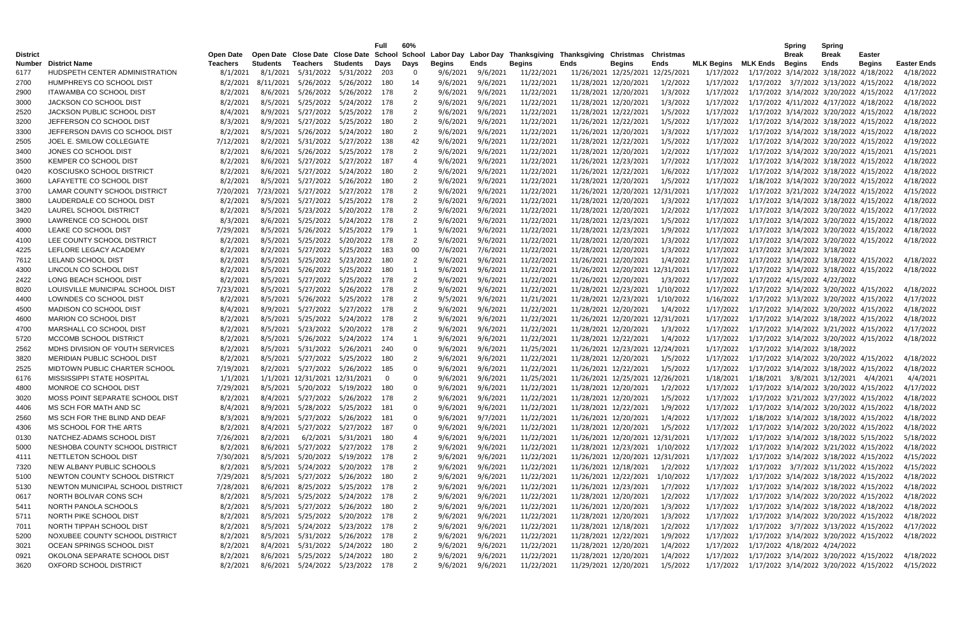|                 |                                                        |                             |                 |                                              |                        | Full  | 60%                  |                           |                  |                                                                                                                 |      |                       |                                          |                                |          | <b>Spring</b>                                     | <b>Spring</b> |               |                                 |
|-----------------|--------------------------------------------------------|-----------------------------|-----------------|----------------------------------------------|------------------------|-------|----------------------|---------------------------|------------------|-----------------------------------------------------------------------------------------------------------------|------|-----------------------|------------------------------------------|--------------------------------|----------|---------------------------------------------------|---------------|---------------|---------------------------------|
| <b>District</b> |                                                        | Open Date                   | <b>Students</b> |                                              |                        |       |                      |                           |                  | Open Date Close Date Close Date School School Labor Day Labor Day Thanksgiving Thanksgiving Christmas Christmas |      |                       |                                          |                                |          | <b>Break</b>                                      | <b>Break</b>  | <b>Easter</b> |                                 |
| Number<br>6177  | <b>District Name</b><br>HUDSPETH CENTER ADMINISTRATION | <b>Teachers</b><br>8/1/2021 |                 | Teachers<br>8/1/2021 5/31/2022 5/31/2022 203 | Students               | Days  | Days<br>$\mathbf{0}$ | <b>Begins</b><br>9/6/2021 | Ends<br>9/6/2021 | <b>Begins</b><br>11/22/2021                                                                                     | Ends | <b>Begins</b>         | Ends<br>11/26/2021 12/25/2021 12/25/2021 | <b>MLK Begins</b><br>1/17/2022 | MLK Ends | Begins<br>1/17/2022 3/14/2022 3/18/2022 4/18/2022 | Ends          | <b>Begins</b> | <b>Easter Ends</b><br>4/18/2022 |
| 2700            | HUMPHREYS CO SCHOOL DIST                               | 8/2/2021                    |                 | 8/11/2021 5/26/2022                          | 5/26/2022              | 180   | 14                   | 9/6/2021                  | 9/6/2021         | 11/22/2021                                                                                                      |      | 11/28/2021 12/20/2021 | 1/2/2022                                 | 1/17/2022                      |          | 1/17/2022 3/7/2022 3/13/2022 4/15/2022            |               |               | 4/18/2022                       |
| 2900            | <b>ITAWAMBA CO SCHOOL DIST</b>                         | 8/2/2021                    |                 | 8/6/2021 5/26/2022                           | 5/26/2022              | -178  | -2                   | 9/6/2021                  | 9/6/2021         | 11/22/2021                                                                                                      |      | 11/28/2021 12/20/2021 | 1/3/2022                                 | 1/17/2022                      |          | 1/17/2022 3/14/2022 3/20/2022 4/15/2022           |               |               | 4/17/2022                       |
| 3000            | JACKSON CO SCHOOL DIST                                 | 8/2/2021                    |                 | 8/5/2021 5/25/2022                           | 5/24/2022              | - 178 | -2                   | 9/6/2021                  | 9/6/2021         | 11/22/2021                                                                                                      |      | 11/28/2021 12/20/2021 | 1/3/2022                                 | 1/17/2022                      |          | 1/17/2022 4/11/2022 4/17/2022 4/18/2022           |               |               | 4/18/2022                       |
|                 | JACKSON PUBLIC SCHOOL DIST                             |                             |                 |                                              |                        |       |                      |                           |                  |                                                                                                                 |      |                       |                                          |                                |          |                                                   |               |               | 4/18/2022                       |
| 2520            |                                                        | 8/4/2021                    |                 | 8/9/2021 5/27/2022                           | 5/25/2022              | -178  | -2                   | 9/6/2021                  | 9/6/2021         | 11/22/2021                                                                                                      |      | 11/28/2021 12/22/2021 | 1/5/2022                                 | 1/17/2022                      |          | 1/17/2022 3/14/2022 3/20/2022 4/15/2022           |               |               |                                 |
| 3200            | JEFFERSON CO SCHOOL DIST                               | 8/3/2021                    |                 | 8/9/2021 5/27/2022                           | 5/25/2022              | 180   | 2                    | 9/6/2021                  | 9/6/2021         | 11/22/2021                                                                                                      |      | 11/26/2021 12/22/2021 | 1/5/2022                                 | 1/17/2022                      |          | 1/17/2022 3/14/2022 3/18/2022 4/15/2022           |               |               | 4/18/2022                       |
| 3300            | JEFFERSON DAVIS CO SCHOOL DIST                         | 8/2/2021                    |                 | 8/5/2021 5/26/2022                           | 5/24/2022              | 180   | $\overline{2}$       | 9/6/2021                  | 9/6/2021         | 11/22/2021                                                                                                      |      | 11/26/2021 12/20/2021 | 1/3/2022                                 | 1/17/2022                      |          | 1/17/2022 3/14/2022 3/18/2022 4/15/2022           |               |               | 4/18/2022                       |
| 2505            | JOEL E. SMILOW COLLEGIATE                              | 7/12/2021                   |                 | 8/2/2021 5/31/2022                           | 5/27/2022              | 138   | 42                   | 9/6/2021                  | 9/6/2021         | 11/22/2021                                                                                                      |      | 11/28/2021 12/22/2021 | 1/5/2022                                 | 1/17/2022                      |          | 1/17/2022 3/14/2022 3/20/2022 4/15/2022           |               |               | 4/19/2022                       |
| 3400            | JONES CO SCHOOL DIST                                   | 8/2/2021                    |                 | 8/6/2021 5/26/2022                           | 5/25/2022              | - 178 | $\overline{2}$       | 9/6/2021                  | 9/6/2021         | 11/22/2021                                                                                                      |      | 11/28/2021 12/20/2021 | 1/2/2022                                 | 1/17/2022                      |          | 1/17/2022 3/14/2022 3/20/2022 4/15/2021           |               |               | 4/15/2021                       |
| 3500            | KEMPER CO SCHOOL DIST                                  | 8/2/2021                    |                 | 8/6/2021 5/27/2022 5/27/2022                 |                        | - 187 | 4                    | 9/6/2021                  | 9/6/2021         | 11/22/2021                                                                                                      |      | 11/26/2021 12/23/2021 | 1/7/2022                                 | 1/17/2022                      |          | 1/17/2022 3/14/2022 3/18/2022 4/15/2022           |               |               | 4/18/2022                       |
| 0420            | KOSCIUSKO SCHOOL DISTRICT                              | 8/2/2021                    |                 | 8/6/2021 5/27/2022 5/24/2022                 |                        | -180  | 2                    | 9/6/2021                  | 9/6/2021         | 11/22/2021                                                                                                      |      | 11/26/2021 12/22/2021 | 1/6/2022                                 | 1/17/2022                      |          | 1/17/2022 3/14/2022 3/18/2022 4/15/2022           |               |               | 4/18/2022                       |
| 3600            | LAFAYETTE CO SCHOOL DIST                               | 8/2/2021                    |                 | 8/5/2021 5/27/2022                           | 5/26/2022              | 180   | 2                    | 9/6/2021                  | 9/6/2021         | 11/22/2021                                                                                                      |      | 11/28/2021 12/20/2021 | 1/5/2022                                 | 1/17/2022                      |          | 1/18/2022 3/14/2022 3/20/2022 4/15/2022           |               |               | 4/18/2022                       |
| 3700            | LAMAR COUNTY SCHOOL DISTRICT                           | 7/20/2021                   |                 | 7/23/2021 5/27/2022 5/27/2022                |                        | -178  | -2                   | 9/6/2021                  | 9/6/2021         | 11/22/2021                                                                                                      |      |                       | 11/26/2021 12/20/2021 12/31/2021         | 1/17/2022                      |          | 1/17/2022 3/21/2022 3/24/2022 4/15/2022           |               |               | 4/15/2022                       |
| 3800            | LAUDERDALE CO SCHOOL DIST                              | 8/2/2021                    |                 | 8/5/2021 5/27/2022 5/25/2022                 |                        | - 178 | -2                   | 9/6/2021                  | 9/6/2021         | 11/22/2021                                                                                                      |      | 11/28/2021 12/20/2021 | 1/3/2022                                 | 1/17/2022                      |          | 1/17/2022 3/14/2022 3/18/2022 4/15/2022           |               |               | 4/18/2022                       |
| 3420            | LAUREL SCHOOL DISTRICT                                 | 8/2/2021                    |                 | 8/5/2021 5/23/2022                           | 5/20/2022              | - 178 | -2                   | 9/6/2021                  | 9/6/2021         | 11/22/2021                                                                                                      |      | 11/28/2021 12/20/2021 | 1/2/2022                                 | 1/17/2022                      |          | 1/17/2022 3/14/2022 3/20/2022 4/15/2022           |               |               | 4/17/2022                       |
| 3900            | LAWRENCE CO SCHOOL DIST                                | 8/3/2021                    |                 | 8/6/2021 5/25/2022                           | 5/24/2022              | -178  | -2                   | 9/6/2021                  | 9/6/2021         | 11/22/2021                                                                                                      |      | 11/28/2021 12/23/2021 | 1/5/2022                                 | 1/17/2022                      |          | 1/17/2022 3/14/2022 3/20/2022 4/15/2022           |               |               | 4/18/2022                       |
| 4000            | LEAKE CO SCHOOL DIST                                   | 7/29/2021                   |                 | 8/5/2021 5/26/2022                           | 5/25/2022              | -179  |                      | 9/6/2021                  | 9/6/2021         | 11/22/2021                                                                                                      |      | 11/28/2021 12/23/2021 | 1/9/2022                                 | 1/17/2022                      |          | 1/17/2022 3/14/2022 3/20/2022 4/15/2022           |               |               | 4/18/2022                       |
| 4100            | LEE COUNTY SCHOOL DISTRICT                             | 8/2/2021                    |                 | 8/5/2021 5/25/2022                           | 5/20/2022              | -178  | 2                    | 9/6/2021                  | 9/6/2021         | 11/22/2021                                                                                                      |      | 11/28/2021 12/20/2021 | 1/3/2022                                 | 1/17/2022                      |          | 1/17/2022 3/14/2022 3/20/2022 4/15/2022           |               |               | 4/18/2022                       |
| 4225            | LEFLORE LEGACY ACADEMY                                 | 8/2/2021                    |                 | 8/2/2021 5/27/2022                           | 5/25/2022              | -183  | 00                   | 7/6/2021                  | 7/6/2021         | 11/22/2021                                                                                                      |      | 11/28/2021 12/20/2021 | 1/3/2022                                 | 1/17/2022                      |          | 1/17/2022 3/14/2022 3/18/2022                     |               |               |                                 |
| 7612            | LELAND SCHOOL DIST                                     | 8/2/2021                    |                 | 8/5/2021 5/25/2022                           | 5/23/2022              | -180  | 2                    | 9/6/2021                  | 9/6/2021         | 11/22/2021                                                                                                      |      | 11/26/2021 12/20/2021 | 1/4/2022                                 | 1/17/2022                      |          | 1/17/2022 3/14/2022 3/18/2022 4/15/2022           |               |               | 4/18/2022                       |
| 4300            | LINCOLN CO SCHOOL DIST                                 | 8/2/2021                    |                 | 8/5/2021 5/26/2022                           | 5/25/2022              | -180  |                      | 9/6/2021                  | 9/6/2021         | 11/22/2021                                                                                                      |      |                       | 11/26/2021 12/20/2021 12/31/2021         | 1/17/2022                      |          | 1/17/2022 3/14/2022 3/18/2022 4/15/2022           |               |               | 4/18/2022                       |
| 2422            | LONG BEACH SCHOOL DIST                                 | 8/2/2021                    |                 | 8/5/2021 5/27/2022                           | 5/25/2022              | 178   | 2                    | 9/6/2021                  | 9/6/2021         | 11/22/2021                                                                                                      |      | 11/26/2021 12/20/2021 | 1/3/2022                                 | 1/17/2022                      |          | 1/17/2022 4/15/2022 4/22/2022                     |               |               |                                 |
| 8020            | LOUISVILLE MUNICIPAL SCHOOL DIST                       | 7/23/2021                   |                 | 8/5/2021 5/27/2022                           | 5/26/2022              | -178  |                      | 9/6/2021                  | 9/6/2021         | 11/22/2021                                                                                                      |      | 11/28/2021 12/23/2021 | 1/10/2022                                | 1/17/2022                      |          | 1/17/2022 3/14/2022 3/20/2022 4/15/2022           |               |               | 4/18/2022                       |
| 4400            | LOWNDES CO SCHOOL DIST                                 | 8/2/2021                    |                 | 8/5/2021 5/26/2022                           | 5/25/2022              | -178  | -2                   | 9/5/2021                  | 9/6/2021         | 11/21/2021                                                                                                      |      | 11/28/2021 12/23/2021 | 1/10/2022                                | 1/16/2022                      |          | 1/17/2022 3/13/2022 3/20/2022 4/15/2022           |               |               | 4/17/2022                       |
| 4500            | MADISON CO SCHOOL DIST                                 | 8/4/2021                    |                 | 8/9/2021 5/27/2022                           | 5/27/2022              | -178  | -2                   | 9/6/2021                  | 9/6/2021         | 11/22/2021                                                                                                      |      | 11/28/2021 12/20/2021 | 1/4/2022                                 | 1/17/2022                      |          | 1/17/2022 3/14/2022 3/20/2022 4/15/2022           |               |               | 4/18/2022                       |
| 4600            | <b>MARION CO SCHOOL DIST</b>                           | 8/2/2021                    |                 | 8/5/2021 5/25/2022                           | 5/24/2022              | 178   | 2                    | 9/6/2021                  | 9/6/2021         | 11/22/2021                                                                                                      |      |                       | 11/26/2021 12/20/2021 12/31/2021         | 1/17/2022                      |          | 1/17/2022 3/14/2022 3/18/2022 4/15/2022           |               |               | 4/18/2022                       |
| 4700            | MARSHALL CO SCHOOL DIST                                | 8/2/2021                    |                 | 8/5/2021 5/23/2022                           | 5/20/2022              | 178   | 2                    | 9/6/2021                  | 9/6/2021         | 11/22/2021                                                                                                      |      | 11/28/2021 12/20/2021 | 1/3/2022                                 | 1/17/2022                      |          | 1/17/2022 3/14/2022 3/21/2022 4/15/2022           |               |               | 4/17/2022                       |
| 5720            | MCCOMB SCHOOL DISTRICT                                 | 8/2/2021                    |                 | 8/5/2021 5/26/2022                           | 5/24/2022 174          |       |                      | 9/6/2021                  | 9/6/2021         | 11/22/2021                                                                                                      |      | 11/28/2021 12/22/2021 | 1/4/2022                                 | 1/17/2022                      |          | 1/17/2022 3/14/2022 3/20/2022 4/15/2022           |               |               | 4/18/2022                       |
| 2562            | MDHS DIVISION OF YOUTH SERVICES                        | 8/2/2021                    |                 | 8/5/2021 5/31/2022                           | 5/26/2021              | - 240 | $\overline{0}$       | 9/6/2021                  | 9/6/2021         | 11/25/2021                                                                                                      |      |                       | 11/26/2021 12/23/2021 12/24/2021         | 1/17/2022                      |          | 1/17/2022 3/14/2022 3/18/2022                     |               |               |                                 |
| 3820            | MERIDIAN PUBLIC SCHOOL DIST                            | 8/2/2021                    |                 | 8/5/2021 5/27/2022 5/25/2022                 |                        | -180  | 2                    | 9/6/2021                  | 9/6/2021         | 11/22/2021                                                                                                      |      | 11/28/2021 12/20/2021 | 1/5/2022                                 | 1/17/2022                      |          | 1/17/2022 3/14/2022 3/20/2022 4/15/2022           |               |               | 4/18/2022                       |
| 2525            | MIDTOWN PUBLIC CHARTER SCHOOL                          | 7/19/2021                   |                 | 8/2/2021 5/27/2022 5/26/2022                 |                        | 185   | 0                    | 9/6/2021                  | 9/6/2021         | 11/22/2021                                                                                                      |      | 11/26/2021 12/22/2021 | 1/5/2022                                 | 1/17/2022                      |          | 1/17/2022 3/14/2022 3/18/2022 4/15/2022           |               |               | 4/18/2022                       |
| 6176            | MISSISSIPPI STATE HOSPITAL                             | 1/1/2021                    |                 | 1/1/2021 12/31/2021 12/31/2021               |                        | - 0   | $\Omega$             | 9/6/2021                  | 9/6/2021         | 11/25/2021                                                                                                      |      |                       | 11/26/2021 12/25/2021 12/26/2021         | 1/18/2021                      |          | 1/18/2021 3/8/2021 3/12/2021 4/4/2021             |               |               | 4/4/2021                        |
| 4800            | MONROE CO SCHOOL DIST                                  | 7/29/2021                   |                 | 8/5/2021 5/20/2022 5/19/2022                 |                        | -180  | $\Omega$             | 9/6/2021                  | 9/6/2021         | 11/22/2021                                                                                                      |      | 11/28/2021 12/20/2021 | 1/2/2022                                 | 1/17/2022                      |          | 1/17/2022 3/14/2022 3/20/2022 4/15/2022           |               |               | 4/17/2022                       |
| 3020            | MOSS POINT SEPARATE SCHOOL DIST                        | 8/2/2021                    |                 | 8/4/2021 5/27/2022 5/26/2022 178             |                        |       |                      | 9/6/2021                  | 9/6/2021         | 11/22/2021                                                                                                      |      | 11/28/2021 12/20/2021 | 1/5/2022                                 | 1/17/2022                      |          | 1/17/2022 3/21/2022 3/27/2022 4/15/2022           |               |               | 4/18/2022                       |
| 4406            | MS SCH FOR MATH AND SC                                 | 8/4/2021                    |                 | 8/9/2021 5/28/2022 5/25/2022 181             |                        |       |                      | 9/6/2021                  | 9/6/2021         | 11/22/2021                                                                                                      |      | 11/28/2021 12/22/2021 | 1/9/2022                                 | 1/17/2022                      |          | 1/17/2022 3/14/2022 3/20/2022 4/15/2022           |               |               | 4/18/2022                       |
| 2560            | MS SCH FOR THE BLIND AND DEAF                          | 8/3/2021                    |                 | 8/9/2021 5/27/2022 5/26/2022 181             |                        |       | 0                    | 9/6/2021                  | 9/7/2021         | 11/22/2021                                                                                                      |      | 11/26/2021 12/20/2021 | 1/4/2022                                 | 1/17/2022                      |          | 1/18/2022 3/14/2022 3/18/2022 4/15/2022           |               |               | 4/18/2022                       |
| 4306            | MS SCHOOL FOR THE ARTS                                 | 8/2/2021                    |                 | 8/4/2021 5/27/2022 5/27/2022 187             |                        |       | 0                    | 9/6/2021                  | 9/6/2021         | 11/22/2021                                                                                                      |      | 11/28/2021 12/20/2021 | 1/5/2022                                 | 1/17/2022                      |          | 1/17/2022 3/14/2022 3/20/2022 4/15/2022           |               |               | 4/18/2022                       |
| 0130            | NATCHEZ-ADAMS SCHOOL DIST                              | 7/26/2021                   | 8/2/2021        |                                              | 6/2/2021 5/31/2021 180 |       |                      | 9/6/2021                  | 9/6/2021         | 11/22/2021                                                                                                      |      |                       | 11/26/2021 12/20/2021 12/31/2021         | 1/17/2022                      |          | 1/17/2022 3/14/2022 3/18/2022 5/15/2022           |               |               | 5/18/2022                       |
| 5000            | NESHOBA COUNTY SCHOOL DISTRICT                         | 8/2/2021                    |                 | 8/6/2021 5/27/2022 5/27/2022 178             |                        |       | 2                    | 9/6/2021                  | 9/6/2021         | 11/22/2021                                                                                                      |      |                       | 11/28/2021 12/23/2021 1/10/2022          | 1/17/2022                      |          | 1/17/2022 3/14/2022 3/21/2022 4/15/2022           |               |               | 4/18/2022                       |
| 4111            | NETTLETON SCHOOL DIST                                  | 7/30/2021                   |                 | 8/5/2021 5/20/2022 5/19/2022 178             |                        |       | 2                    | 9/6/2021                  | 9/6/2021         | 11/22/2021                                                                                                      |      |                       | 11/26/2021 12/20/2021 12/31/2021         | 1/17/2022                      |          | 1/17/2022 3/14/2022 3/18/2022 4/15/2022           |               |               | 4/15/2022                       |
| 7320            | NEW ALBANY PUBLIC SCHOOLS                              | 8/2/2021                    |                 | 8/5/2021 5/24/2022 5/20/2022 178             |                        |       | 2                    | 9/6/2021                  | 9/6/2021         | 11/22/2021                                                                                                      |      | 11/26/2021 12/18/2021 | 1/2/2022                                 | 1/17/2022                      |          | 1/17/2022 3/7/2022 3/11/2022 4/15/2022            |               |               | 4/15/2022                       |
| 5100            | NEWTON COUNTY SCHOOL DISTRICT                          | 7/29/2021                   |                 | 8/5/2021 5/27/2022 5/26/2022 180             |                        |       | $\overline{c}$       | 9/6/2021                  | 9/6/2021         | 11/22/2021                                                                                                      |      |                       | 11/26/2021 12/22/2021 1/10/2022          | 1/17/2022                      |          | 1/17/2022 3/14/2022 3/18/2022 4/15/2022           |               |               | 4/18/2022                       |
| 5130            | NEWTON MUNICIPAL SCHOOL DISTRICT                       | 7/28/2021                   |                 | 8/6/2021 8/25/2022 5/25/2022 178             |                        |       |                      | 9/6/2021                  | 9/6/2021         | 11/22/2021                                                                                                      |      | 11/26/2021 12/23/2021 | 1/7/2022                                 | 1/17/2022                      |          | 1/17/2022 3/14/2022 3/18/2022 4/15/2022           |               |               | 4/18/2022                       |
| 0617            | NORTH BOLIVAR CONS SCH                                 | 8/2/2021                    |                 | 8/5/2021 5/25/2022 5/24/2022 178             |                        |       |                      | 9/6/2021                  | 9/6/2021         | 11/22/2021                                                                                                      |      | 11/28/2021 12/20/2021 | 1/2/2022                                 | 1/17/2022                      |          | 1/17/2022 3/14/2022 3/20/2022 4/15/2022           |               |               | 4/18/2022                       |
| 5411            | NORTH PANOLA SCHOOLS                                   | 8/2/2021                    |                 | 8/5/2021 5/27/2022 5/26/2022 180             |                        |       |                      | 9/6/2021                  | 9/6/2021         | 11/22/2021                                                                                                      |      | 11/26/2021 12/20/2021 | 1/3/2022                                 | 1/17/2022                      |          | 1/17/2022 3/14/2022 3/18/2022 4/18/2022           |               |               | 4/18/2022                       |
| 5711            | NORTH PIKE SCHOOL DIST                                 | 8/2/2021                    |                 | 8/5/2021 5/25/2022 5/20/2022 178             |                        |       | -2                   | 9/6/2021                  | 9/6/2021         | 11/22/2021                                                                                                      |      | 11/28/2021 12/20/2021 | 1/3/2022                                 | 1/17/2022                      |          | 1/17/2022 3/14/2022 3/20/2022 4/15/2022           |               |               | 4/18/2022                       |
| 7011            | NORTH TIPPAH SCHOOL DIST                               | 8/2/2021                    |                 | 8/5/2021 5/24/2022 5/23/2022 178             |                        |       | -2                   | 9/6/2021                  | 9/6/2021         | 11/22/2021                                                                                                      |      | 11/28/2021 12/18/2021 | 1/2/2022                                 | 1/17/2022                      |          | 1/17/2022 3/7/2022 3/13/2022 4/15/2022            |               |               | 4/17/2022                       |
| 5200            | NOXUBEE COUNTY SCHOOL DISTRICT                         | 8/2/2021                    |                 | 8/5/2021 5/31/2022 5/26/2022 178             |                        |       |                      | 9/6/2021                  | 9/6/2021         | 11/22/2021                                                                                                      |      | 11/28/2021 12/22/2021 | 1/9/2022                                 | 1/17/2022                      |          | 1/17/2022 3/14/2022 3/20/2022 4/15/2022           |               |               | 4/18/2022                       |
| 3021            | OCEAN SPRINGS SCHOOL DIST                              | 8/2/2021                    |                 | 8/4/2021 5/31/2022 5/24/2022 180             |                        |       | 2                    | 9/6/2021                  | 9/6/2021         | 11/22/2021                                                                                                      |      | 11/28/2021 12/20/2021 | 1/4/2022                                 | 1/17/2022                      |          | 1/17/2022 4/18/2022 4/24/2022                     |               |               |                                 |
| 0921            | OKOLONA SEPARATE SCHOOL DIST                           | 8/2/2021                    |                 | 8/6/2021 5/25/2022 5/24/2022 180             |                        |       | 2                    | 9/6/2021                  | 9/6/2021         | 11/22/2021                                                                                                      |      | 11/28/2021 12/20/2021 | 1/4/2022                                 | 1/17/2022                      |          | 1/17/2022 3/14/2022 3/20/2022 4/15/2022           |               |               | 4/18/2022                       |
| 3620            | OXFORD SCHOOL DISTRICT                                 | 8/2/2021                    |                 | 8/6/2021 5/24/2022 5/23/2022 178             |                        |       | $\overline{2}$       | 9/6/2021                  | 9/6/2021         | 11/22/2021                                                                                                      |      | 11/29/2021 12/20/2021 | 1/5/2022                                 | 1/17/2022                      |          | 1/17/2022 3/14/2022 3/20/2022 4/15/2022           |               |               | 4/15/2022                       |
|                 |                                                        |                             |                 |                                              |                        |       |                      |                           |                  |                                                                                                                 |      |                       |                                          |                                |          |                                                   |               |               |                                 |